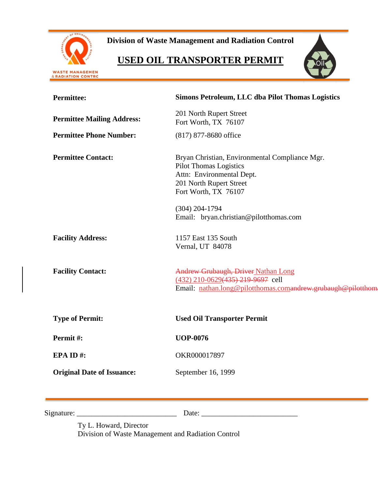

**Division of Waste Management and Radiation Control**

# **USED OIL TRANSPORTER PERMIT**



| <b>Permittee:</b>                 | <b>Simons Petroleum, LLC dba Pilot Thomas Logistics</b>                                                                                                                                                                       |
|-----------------------------------|-------------------------------------------------------------------------------------------------------------------------------------------------------------------------------------------------------------------------------|
| <b>Permittee Mailing Address:</b> | 201 North Rupert Street<br>Fort Worth, TX 76107                                                                                                                                                                               |
| <b>Permittee Phone Number:</b>    | (817) 877-8680 office                                                                                                                                                                                                         |
| <b>Permittee Contact:</b>         | Bryan Christian, Environmental Compliance Mgr.<br><b>Pilot Thomas Logistics</b><br>Attn: Environmental Dept.<br>201 North Rupert Street<br>Fort Worth, TX 76107<br>$(304)$ 204-1794<br>Email: bryan.christian@pilotthomas.com |
| <b>Facility Address:</b>          | 1157 East 135 South<br>Vernal, UT 84078                                                                                                                                                                                       |
| <b>Facility Contact:</b>          | Andrew Grubaugh, Driver Nathan Long<br>(432) 210-0629(435) 219-9697 cell<br>Email: nathan.long@pilotthomas.comandrew.grubaugh@pilotthom                                                                                       |
| <b>Type of Permit:</b>            | <b>Used Oil Transporter Permit</b>                                                                                                                                                                                            |
| Permit#:                          | <b>UOP-0076</b>                                                                                                                                                                                                               |
| EPA ID#:                          | OKR000017897                                                                                                                                                                                                                  |
| <b>Original Date of Issuance:</b> | September 16, 1999                                                                                                                                                                                                            |
|                                   |                                                                                                                                                                                                                               |

| Sign<br>nafiire |  |
|-----------------|--|
|-----------------|--|

Ty L. Howard, Director Division of Waste Management and Radiation Control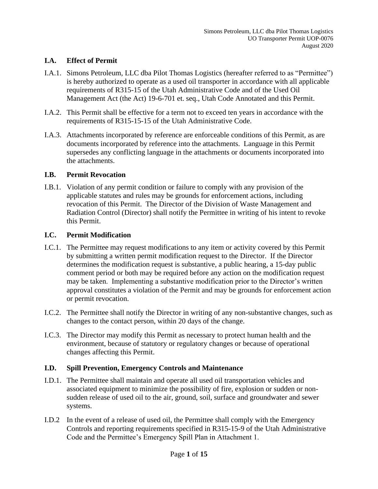## **I.A. Effect of Permit**

- I.A.1. Simons Petroleum, LLC dba Pilot Thomas Logistics (hereafter referred to as "Permittee") is hereby authorized to operate as a used oil transporter in accordance with all applicable requirements of R315-15 of the Utah Administrative Code and of the Used Oil Management Act (the Act) 19-6-701 et. seq., Utah Code Annotated and this Permit.
- I.A.2. This Permit shall be effective for a term not to exceed ten years in accordance with the requirements of R315-15-15 of the Utah Administrative Code.
- I.A.3. Attachments incorporated by reference are enforceable conditions of this Permit, as are documents incorporated by reference into the attachments. Language in this Permit supersedes any conflicting language in the attachments or documents incorporated into the attachments.

## **I.B. Permit Revocation**

I.B.1. Violation of any permit condition or failure to comply with any provision of the applicable statutes and rules may be grounds for enforcement actions, including revocation of this Permit. The Director of the Division of Waste Management and Radiation Control (Director) shall notify the Permittee in writing of his intent to revoke this Permit.

#### **I.C. Permit Modification**

- I.C.1. The Permittee may request modifications to any item or activity covered by this Permit by submitting a written permit modification request to the Director. If the Director determines the modification request is substantive, a public hearing, a 15-day public comment period or both may be required before any action on the modification request may be taken. Implementing a substantive modification prior to the Director's written approval constitutes a violation of the Permit and may be grounds for enforcement action or permit revocation.
- I.C.2. The Permittee shall notify the Director in writing of any non-substantive changes, such as changes to the contact person, within 20 days of the change.
- I.C.3. The Director may modify this Permit as necessary to protect human health and the environment, because of statutory or regulatory changes or because of operational changes affecting this Permit.

## **I.D. Spill Prevention, Emergency Controls and Maintenance**

- I.D.1. The Permittee shall maintain and operate all used oil transportation vehicles and associated equipment to minimize the possibility of fire, explosion or sudden or nonsudden release of used oil to the air, ground, soil, surface and groundwater and sewer systems.
- I.D.2 In the event of a release of used oil, the Permittee shall comply with the Emergency Controls and reporting requirements specified in R315-15-9 of the Utah Administrative Code and the Permittee's Emergency Spill Plan in Attachment 1.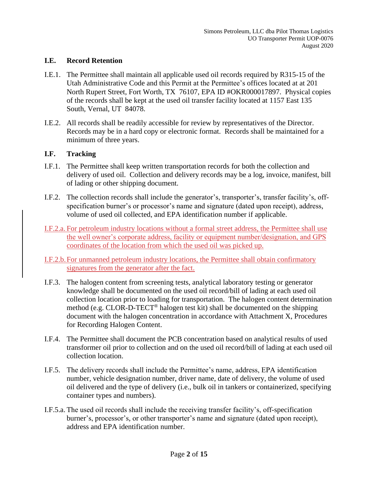#### **I.E. Record Retention**

- I.E.1. The Permittee shall maintain all applicable used oil records required by R315-15 of the Utah Administrative Code and this Permit at the Permittee's offices located at at 201 North Rupert Street, Fort Worth, TX 76107, EPA ID #OKR000017897. Physical copies of the records shall be kept at the used oil transfer facility located at 1157 East 135 South, Vernal, UT 84078.
- I.E.2. All records shall be readily accessible for review by representatives of the Director. Records may be in a hard copy or electronic format. Records shall be maintained for a minimum of three years.

## **I.F. Tracking**

- I.F.1. The Permittee shall keep written transportation records for both the collection and delivery of used oil. Collection and delivery records may be a log, invoice, manifest, bill of lading or other shipping document.
- I.F.2. The collection records shall include the generator's, transporter's, transfer facility's, offspecification burner's or processor's name and signature (dated upon receipt), address, volume of used oil collected, and EPA identification number if applicable.
- I.F.2.a. For petroleum industry locations without a formal street address, the Permittee shall use the well owner's corporate address, facility or equipment number/designation, and GPS coordinates of the location from which the used oil was picked up.

I.F.2.b.For unmanned petroleum industry locations, the Permittee shall obtain confirmatory signatures from the generator after the fact.

- I.F.3. The halogen content from screening tests, analytical laboratory testing or generator knowledge shall be documented on the used oil record/bill of lading at each used oil collection location prior to loading for transportation. The halogen content determination method (e.g. CLOR-D-TECT<sup>®</sup> halogen test kit) shall be documented on the shipping document with the halogen concentration in accordance with Attachment X, Procedures for Recording Halogen Content.
- I.F.4. The Permittee shall document the PCB concentration based on analytical results of used transformer oil prior to collection and on the used oil record/bill of lading at each used oil collection location.
- I.F.5. The delivery records shall include the Permittee's name, address, EPA identification number, vehicle designation number, driver name, date of delivery, the volume of used oil delivered and the type of delivery (i.e., bulk oil in tankers or containerized, specifying container types and numbers).
- I.F.5.a. The used oil records shall include the receiving transfer facility's, off-specification burner's, processor's, or other transporter's name and signature (dated upon receipt), address and EPA identification number.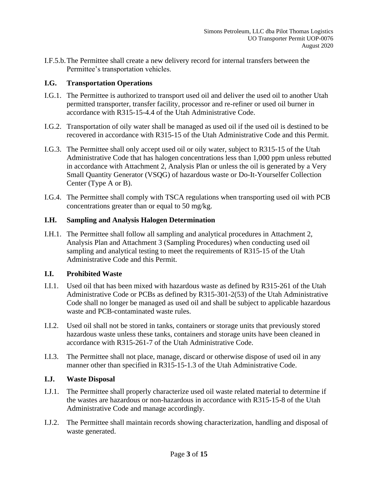I.F.5.b.The Permittee shall create a new delivery record for internal transfers between the Permittee's transportation vehicles.

## **I.G. Transportation Operations**

- I.G.1. The Permittee is authorized to transport used oil and deliver the used oil to another Utah permitted transporter, transfer facility, processor and re-refiner or used oil burner in accordance with R315-15-4.4 of the Utah Administrative Code.
- I.G.2. Transportation of oily water shall be managed as used oil if the used oil is destined to be recovered in accordance with R315-15 of the Utah Administrative Code and this Permit.
- I.G.3. The Permittee shall only accept used oil or oily water, subject to R315-15 of the Utah Administrative Code that has halogen concentrations less than 1,000 ppm unless rebutted in accordance with Attachment 2, Analysis Plan or unless the oil is generated by a Very Small Quantity Generator (VSQG) of hazardous waste or Do-It-Yourselfer Collection Center (Type A or B).
- I.G.4. The Permittee shall comply with TSCA regulations when transporting used oil with PCB concentrations greater than or equal to 50 mg/kg.

## **I.H. Sampling and Analysis Halogen Determination**

I.H.1. The Permittee shall follow all sampling and analytical procedures in Attachment 2, Analysis Plan and Attachment 3 (Sampling Procedures) when conducting used oil sampling and analytical testing to meet the requirements of R315-15 of the Utah Administrative Code and this Permit.

## **I.I. Prohibited Waste**

- I.I.1. Used oil that has been mixed with hazardous waste as defined by R315-261 of the Utah Administrative Code or PCBs as defined by R315-301-2(53) of the Utah Administrative Code shall no longer be managed as used oil and shall be subject to applicable hazardous waste and PCB-contaminated waste rules.
- I.I.2. Used oil shall not be stored in tanks, containers or storage units that previously stored hazardous waste unless these tanks, containers and storage units have been cleaned in accordance with R315-261-7 of the Utah Administrative Code.
- I.I.3. The Permittee shall not place, manage, discard or otherwise dispose of used oil in any manner other than specified in R315-15-1.3 of the Utah Administrative Code.

## **I.J. Waste Disposal**

- I.J.1. The Permittee shall properly characterize used oil waste related material to determine if the wastes are hazardous or non-hazardous in accordance with R315-15-8 of the Utah Administrative Code and manage accordingly.
- I.J.2. The Permittee shall maintain records showing characterization, handling and disposal of waste generated.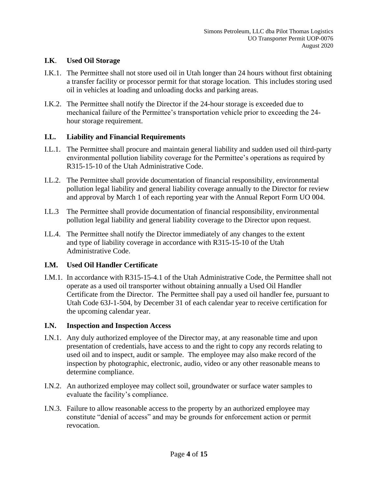## **I.K**. **Used Oil Storage**

- I.K.1. The Permittee shall not store used oil in Utah longer than 24 hours without first obtaining a transfer facility or processor permit for that storage location. This includes storing used oil in vehicles at loading and unloading docks and parking areas.
- I.K.2. The Permittee shall notify the Director if the 24-hour storage is exceeded due to mechanical failure of the Permittee's transportation vehicle prior to exceeding the 24 hour storage requirement.

#### **I.L. Liability and Financial Requirements**

- I.L.1. The Permittee shall procure and maintain general liability and sudden used oil third-party environmental pollution liability coverage for the Permittee's operations as required by R315-15-10 of the Utah Administrative Code.
- I.L.2. The Permittee shall provide documentation of financial responsibility, environmental pollution legal liability and general liability coverage annually to the Director for review and approval by March 1 of each reporting year with the Annual Report Form UO 004.
- I.L.3 The Permittee shall provide documentation of financial responsibility, environmental pollution legal liability and general liability coverage to the Director upon request.
- I.L.4. The Permittee shall notify the Director immediately of any changes to the extent and type of liability coverage in accordance with R315-15-10 of the Utah Administrative Code.

#### **I.M. Used Oil Handler Certificate**

I.M.1. In accordance with R315-15-4.1 of the Utah Administrative Code, the Permittee shall not operate as a used oil transporter without obtaining annually a Used Oil Handler Certificate from the Director. The Permittee shall pay a used oil handler fee, pursuant to Utah Code 63J-1-504, by December 31 of each calendar year to receive certification for the upcoming calendar year.

#### **I.N. Inspection and Inspection Access**

- I.N.1. Any duly authorized employee of the Director may, at any reasonable time and upon presentation of credentials, have access to and the right to copy any records relating to used oil and to inspect, audit or sample. The employee may also make record of the inspection by photographic, electronic, audio, video or any other reasonable means to determine compliance.
- I.N.2. An authorized employee may collect soil, groundwater or surface water samples to evaluate the facility's compliance.
- I.N.3. Failure to allow reasonable access to the property by an authorized employee may constitute "denial of access" and may be grounds for enforcement action or permit revocation.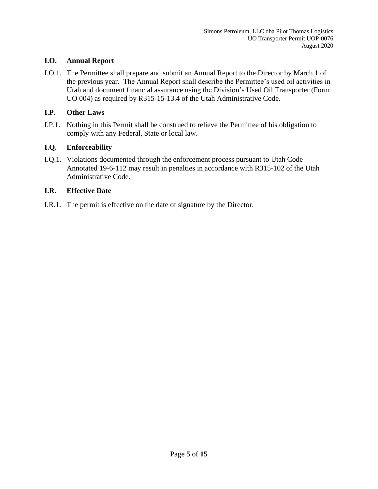## **I.O. Annual Report**

I.O.1. The Permittee shall prepare and submit an Annual Report to the Director by March 1 of the previous year. The Annual Report shall describe the Permittee's used oil activities in Utah and document financial assurance using the Division's Used Oil Transporter (Form UO 004) as required by R315-15-13.4 of the Utah Administrative Code.

## **I.P. Other Laws**

I.P.1. Nothing in this Permit shall be construed to relieve the Permittee of his obligation to comply with any Federal, State or local law.

## **I.Q. Enforceability**

I.Q.1. Violations documented through the enforcement process pursuant to Utah Code Annotated 19-6-112 may result in penalties in accordance with R315-102 of the Utah Administrative Code.

## **I.R**. **Effective Date**

I.R.1. The permit is effective on the date of signature by the Director.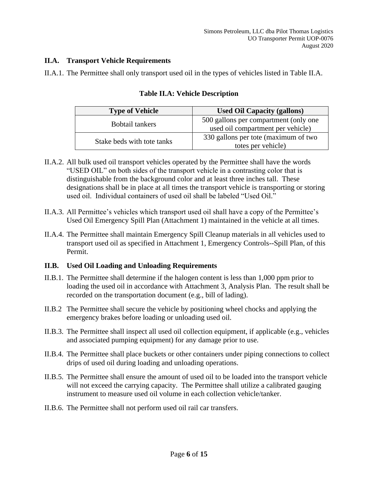## **II.A. Transport Vehicle Requirements**

II.A.1. The Permittee shall only transport used oil in the types of vehicles listed in Table II.A.

| <b>Type of Vehicle</b>     | <b>Used Oil Capacity (gallons)</b>    |  |
|----------------------------|---------------------------------------|--|
| Bobtail tankers            | 500 gallons per compartment (only one |  |
|                            | used oil compartment per vehicle)     |  |
| Stake beds with tote tanks | 330 gallons per tote (maximum of two  |  |
|                            | totes per vehicle)                    |  |

## **Table II.A: Vehicle Description**

- II.A.2. All bulk used oil transport vehicles operated by the Permittee shall have the words "USED OIL" on both sides of the transport vehicle in a contrasting color that is distinguishable from the background color and at least three inches tall. These designations shall be in place at all times the transport vehicle is transporting or storing used oil. Individual containers of used oil shall be labeled "Used Oil."
- II.A.3. All Permittee's vehicles which transport used oil shall have a copy of the Permittee's Used Oil Emergency Spill Plan (Attachment 1) maintained in the vehicle at all times.
- II.A.4. The Permittee shall maintain Emergency Spill Cleanup materials in all vehicles used to transport used oil as specified in Attachment 1, Emergency Controls--Spill Plan, of this Permit.

## **II.B. Used Oil Loading and Unloading Requirements**

- II.B.1. The Permittee shall determine if the halogen content is less than 1,000 ppm prior to loading the used oil in accordance with Attachment 3, Analysis Plan. The result shall be recorded on the transportation document (e.g., bill of lading).
- II.B.2 The Permittee shall secure the vehicle by positioning wheel chocks and applying the emergency brakes before loading or unloading used oil.
- II.B.3. The Permittee shall inspect all used oil collection equipment, if applicable (e.g., vehicles and associated pumping equipment) for any damage prior to use.
- II.B.4. The Permittee shall place buckets or other containers under piping connections to collect drips of used oil during loading and unloading operations.
- II.B.5. The Permittee shall ensure the amount of used oil to be loaded into the transport vehicle will not exceed the carrying capacity. The Permittee shall utilize a calibrated gauging instrument to measure used oil volume in each collection vehicle/tanker.
- II.B.6. The Permittee shall not perform used oil rail car transfers.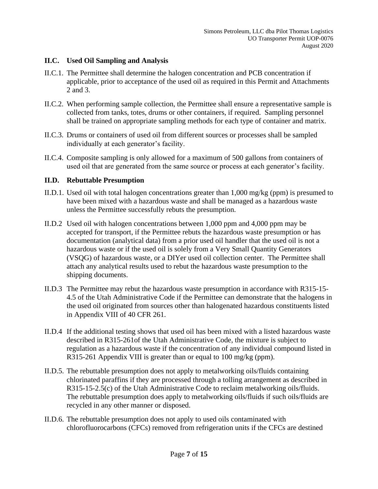## **II.C. Used Oil Sampling and Analysis**

- II.C.1. The Permittee shall determine the halogen concentration and PCB concentration if applicable, prior to acceptance of the used oil as required in this Permit and Attachments 2 and 3.
- II.C.2. When performing sample collection, the Permittee shall ensure a representative sample is collected from tanks, totes, drums or other containers, if required. Sampling personnel shall be trained on appropriate sampling methods for each type of container and matrix.
- II.C.3. Drums or containers of used oil from different sources or processes shall be sampled individually at each generator's facility.
- II.C.4. Composite sampling is only allowed for a maximum of 500 gallons from containers of used oil that are generated from the same source or process at each generator's facility.

## **II.D. Rebuttable Presumption**

- II.D.1. Used oil with total halogen concentrations greater than 1,000 mg/kg (ppm) is presumed to have been mixed with a hazardous waste and shall be managed as a hazardous waste unless the Permittee successfully rebuts the presumption.
- II.D.2 Used oil with halogen concentrations between 1,000 ppm and 4,000 ppm may be accepted for transport, if the Permittee rebuts the hazardous waste presumption or has documentation (analytical data) from a prior used oil handler that the used oil is not a hazardous waste or if the used oil is solely from a Very Small Quantity Generators (VSQG) of hazardous waste, or a DIYer used oil collection center. The Permittee shall attach any analytical results used to rebut the hazardous waste presumption to the shipping documents.
- II.D.3 The Permittee may rebut the hazardous waste presumption in accordance with R315-15- 4.5 of the Utah Administrative Code if the Permittee can demonstrate that the halogens in the used oil originated from sources other than halogenated hazardous constituents listed in Appendix VIII of 40 CFR 261.
- II.D.4 If the additional testing shows that used oil has been mixed with a listed hazardous waste described in R315-261of the Utah Administrative Code, the mixture is subject to regulation as a hazardous waste if the concentration of any individual compound listed in R315-261 Appendix VIII is greater than or equal to 100 mg/kg (ppm).
- II.D.5. The rebuttable presumption does not apply to metalworking oils/fluids containing chlorinated paraffins if they are processed through a tolling arrangement as described in R315-15-2.5(c) of the Utah Administrative Code to reclaim metalworking oils/fluids. The rebuttable presumption does apply to metalworking oils/fluids if such oils/fluids are recycled in any other manner or disposed.
- II.D.6. The rebuttable presumption does not apply to used oils contaminated with chlorofluorocarbons (CFCs) removed from refrigeration units if the CFCs are destined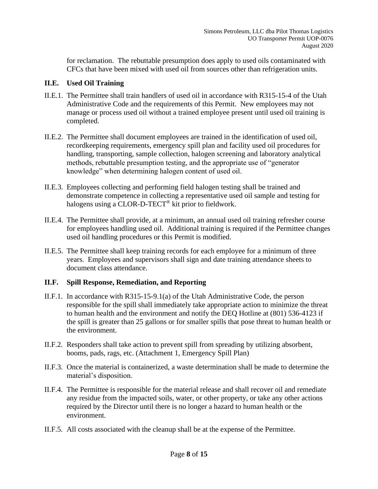for reclamation. The rebuttable presumption does apply to used oils contaminated with CFCs that have been mixed with used oil from sources other than refrigeration units.

## **II.E. Used Oil Training**

- II.E.1. The Permittee shall train handlers of used oil in accordance with R315-15-4 of the Utah Administrative Code and the requirements of this Permit. New employees may not manage or process used oil without a trained employee present until used oil training is completed.
- II.E.2. The Permittee shall document employees are trained in the identification of used oil, recordkeeping requirements, emergency spill plan and facility used oil procedures for handling, transporting, sample collection, halogen screening and laboratory analytical methods, rebuttable presumption testing, and the appropriate use of "generator knowledge" when determining halogen content of used oil.
- II.E.3. Employees collecting and performing field halogen testing shall be trained and demonstrate competence in collecting a representative used oil sample and testing for halogens using a CLOR-D-TECT® kit prior to fieldwork.
- II.E.4. The Permittee shall provide, at a minimum, an annual used oil training refresher course for employees handling used oil. Additional training is required if the Permittee changes used oil handling procedures or this Permit is modified.
- II.E.5. The Permittee shall keep training records for each employee for a minimum of three years. Employees and supervisors shall sign and date training attendance sheets to document class attendance.

## **II.F. Spill Response, Remediation, and Reporting**

- II.F.1. In accordance with R315-15-9.1(a) of the Utah Administrative Code, the person responsible for the spill shall immediately take appropriate action to minimize the threat to human health and the environment and notify the DEQ Hotline at (801) 536-4123 if the spill is greater than 25 gallons or for smaller spills that pose threat to human health or the environment.
- II.F.2. Responders shall take action to prevent spill from spreading by utilizing absorbent, booms, pads, rags, etc. (Attachment 1, Emergency Spill Plan)
- II.F.3. Once the material is containerized, a waste determination shall be made to determine the material's disposition.
- II.F.4. The Permittee is responsible for the material release and shall recover oil and remediate any residue from the impacted soils, water, or other property, or take any other actions required by the Director until there is no longer a hazard to human health or the environment.
- II.F.5. All costs associated with the cleanup shall be at the expense of the Permittee.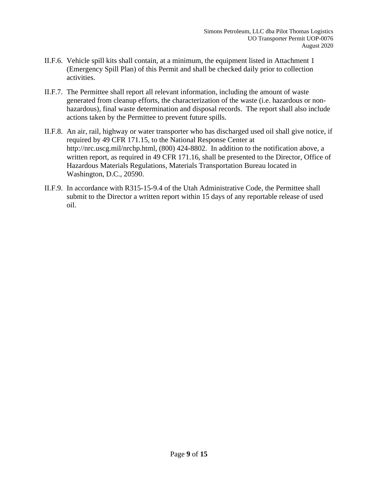- II.F.6. Vehicle spill kits shall contain, at a minimum, the equipment listed in Attachment 1 (Emergency Spill Plan) of this Permit and shall be checked daily prior to collection activities.
- II.F.7. The Permittee shall report all relevant information, including the amount of waste generated from cleanup efforts, the characterization of the waste (i.e. hazardous or nonhazardous), final waste determination and disposal records. The report shall also include actions taken by the Permittee to prevent future spills.
- II.F.8. An air, rail, highway or water transporter who has discharged used oil shall give notice, if required by 49 CFR 171.15, to the National Response Center at http://nrc.uscg.mil/nrchp.html, (800) 424-8802. In addition to the notification above, a written report, as required in 49 CFR 171.16, shall be presented to the Director, Office of Hazardous Materials Regulations, Materials Transportation Bureau located in Washington, D.C., 20590.
- II.F.9. In accordance with R315-15-9.4 of the Utah Administrative Code, the Permittee shall submit to the Director a written report within 15 days of any reportable release of used oil.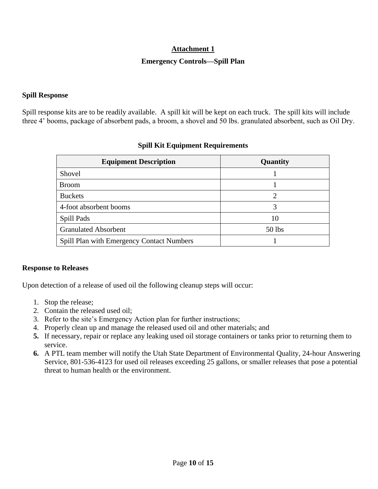## **Attachment 1**

## **Emergency Controls—Spill Plan**

#### **Spill Response**

Spill response kits are to be readily available. A spill kit will be kept on each truck. The spill kits will include three 4' booms, package of absorbent pads, a broom, a shovel and 50 lbs. granulated absorbent, such as Oil Dry.

| <b>Equipment Description</b>                     | Quantity |  |
|--------------------------------------------------|----------|--|
| Shovel                                           |          |  |
| <b>Broom</b>                                     |          |  |
| <b>Buckets</b>                                   | 2        |  |
| 4-foot absorbent booms                           | 3        |  |
| Spill Pads                                       | 10       |  |
| <b>Granulated Absorbent</b>                      | 50 lbs   |  |
| <b>Spill Plan with Emergency Contact Numbers</b> |          |  |

## **Spill Kit Equipment Requirements**

## **Response to Releases**

Upon detection of a release of used oil the following cleanup steps will occur:

- 1. Stop the release;
- 2. Contain the released used oil;
- 3. Refer to the site's Emergency Action plan for further instructions;
- 4. Properly clean up and manage the released used oil and other materials; and
- **5.** If necessary, repair or replace any leaking used oil storage containers or tanks prior to returning them to service.
- **6.** A PTL team member will notify the Utah State Department of Environmental Quality, 24-hour Answering Service, 801-536-4123 for used oil releases exceeding 25 gallons, or smaller releases that pose a potential threat to human health or the environment.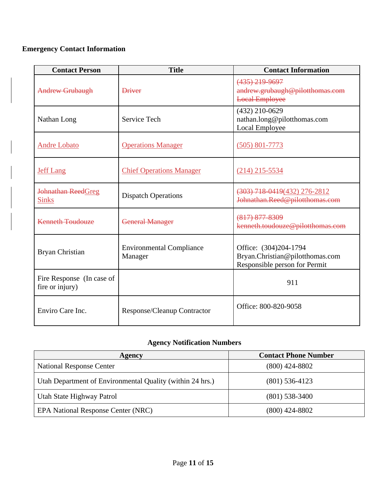## **Emergency Contact Information**

| <b>Contact Person</b>                        | <b>Title</b>                                        | <b>Contact Information</b>                                                                |
|----------------------------------------------|-----------------------------------------------------|-------------------------------------------------------------------------------------------|
| <b>Andrew Grubaugh</b>                       | <b>Driver</b>                                       | $(435)$ 219-9697<br>andrew.grubaugh@pilotthomas.com<br><b>Local Employee</b>              |
| Nathan Long                                  | Service Tech                                        | $(432)$ 210-0629<br>nathan.long@pilotthomas.com<br>Local Employee                         |
| <b>Andre Lobato</b>                          | <b>Operations Manager</b>                           | $(505) 801 - 7773$                                                                        |
| <b>Jeff Lang</b>                             | <b>Chief Operations Manager</b>                     | $(214)$ 215-5534                                                                          |
| Johnathan ReedGreg<br><b>Sinks</b>           | <b>Dispatch Operations</b>                          | $(303)$ 718 0419(432) 276-2812<br>Johnathan.Reed@pilotthomas.com                          |
| <b>Kenneth Toudouze</b>                      | <b>General Manager</b>                              | $(817)$ $877 - 8309$<br>kenneth.toudouze@pilotthomas.com                                  |
| Bryan Christian                              | <b>Environmental Compliance</b><br>Manager          | Office: (304)204-1794<br>Bryan.Christian@pilotthomas.com<br>Responsible person for Permit |
| Fire Response (In case of<br>fire or injury) |                                                     | 911                                                                                       |
| Enviro Care Inc.                             | Office: 800-820-9058<br>Response/Cleanup Contractor |                                                                                           |

## **Agency Notification Numbers**

| Agency                                                    | <b>Contact Phone Number</b> |  |
|-----------------------------------------------------------|-----------------------------|--|
| <b>National Response Center</b>                           | (800) 424-8802              |  |
| Utah Department of Environmental Quality (within 24 hrs.) | $(801)$ 536-4123            |  |
| Utah State Highway Patrol                                 | $(801)$ 538-3400            |  |
| <b>EPA National Response Center (NRC)</b>                 | (800) 424-8802              |  |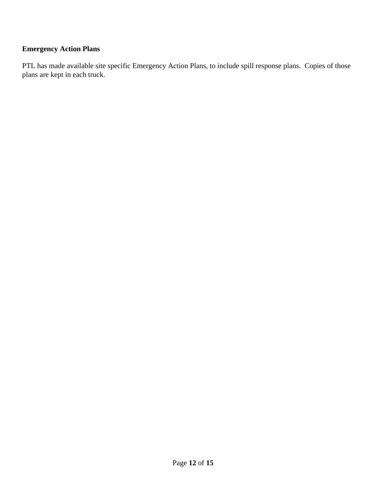## **Emergency Action Plans**

PTL has made available site specific Emergency Action Plans, to include spill response plans. Copies of those plans are kept in each truck.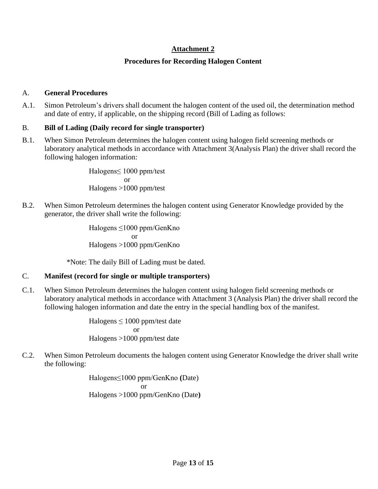## **Attachment 2**

## **Procedures for Recording Halogen Content**

#### A. **General Procedures**

A.1. Simon Petroleum's drivers shall document the halogen content of the used oil, the determination method and date of entry, if applicable, on the shipping record (Bill of Lading as follows:

## B. **Bill of Lading (Daily record for single transporter)**

B.1. When Simon Petroleum determines the halogen content using halogen field screening methods or laboratory analytical methods in accordance with Attachment 3(Analysis Plan) the driver shall record the following halogen information:

> Halogens≤ 1000 ppm/test or Halogens >1000 ppm/test

B.2. When Simon Petroleum determines the halogen content using Generator Knowledge provided by the generator, the driver shall write the following:

> Halogens ≤1000 ppm/GenKno or Halogens >1000 ppm/GenKno

\*Note: The daily Bill of Lading must be dated.

## C. **Manifest (record for single or multiple transporters)**

C.1. When Simon Petroleum determines the halogen content using halogen field screening methods or laboratory analytical methods in accordance with Attachment 3 (Analysis Plan) the driver shall record the following halogen information and date the entry in the special handling box of the manifest.

> Halogens ≤ 1000 ppm/test date or Halogens >1000 ppm/test date

C.2. When Simon Petroleum documents the halogen content using Generator Knowledge the driver shall write the following:

> Halogens≤1000 ppm/GenKno **(**Date) or Halogens >1000 ppm/GenKno (Date**)**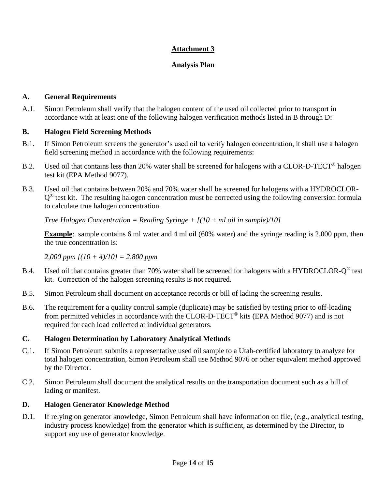## **Attachment 3**

## **Analysis Plan**

#### **A. General Requirements**

A.1. Simon Petroleum shall verify that the halogen content of the used oil collected prior to transport in accordance with at least one of the following halogen verification methods listed in B through D:

#### **B. Halogen Field Screening Methods**

- B.1. If Simon Petroleum screens the generator's used oil to verify halogen concentration, it shall use a halogen field screening method in accordance with the following requirements:
- B.2. Used oil that contains less than 20% water shall be screened for halogens with a CLOR-D-TECT® halogen test kit (EPA Method 9077).
- B.3. Used oil that contains between 20% and 70% water shall be screened for halogens with a HYDROCLOR- $Q^{\circledast}$  test kit. The resulting halogen concentration must be corrected using the following conversion formula to calculate true halogen concentration.

*True Halogen Concentration = Reading Syringe + [(10 + ml oil in sample)/10]*

**Example**: sample contains 6 ml water and 4 ml oil (60% water) and the syringe reading is 2,000 ppm, then the true concentration is:

*2,000 ppm [(10 + 4)/10] = 2,800 ppm*

- B.4. Used oil that contains greater than 70% water shall be screened for halogens with a HYDROCLOR- $Q^{\circledast}$  test kit. Correction of the halogen screening results is not required.
- B.5. Simon Petroleum shall document on acceptance records or bill of lading the screening results.
- B.6. The requirement for a quality control sample (duplicate) may be satisfied by testing prior to off-loading from permitted vehicles in accordance with the CLOR-D-TECT® kits (EPA Method 9077) and is not required for each load collected at individual generators.

## **C. Halogen Determination by Laboratory Analytical Methods**

- C.1. If Simon Petroleum submits a representative used oil sample to a Utah-certified laboratory to analyze for total halogen concentration, Simon Petroleum shall use Method 9076 or other equivalent method approved by the Director.
- C.2. Simon Petroleum shall document the analytical results on the transportation document such as a bill of lading or manifest.

## **D. Halogen Generator Knowledge Method**

D.1. If relying on generator knowledge, Simon Petroleum shall have information on file, (e.g., analytical testing, industry process knowledge) from the generator which is sufficient, as determined by the Director, to support any use of generator knowledge.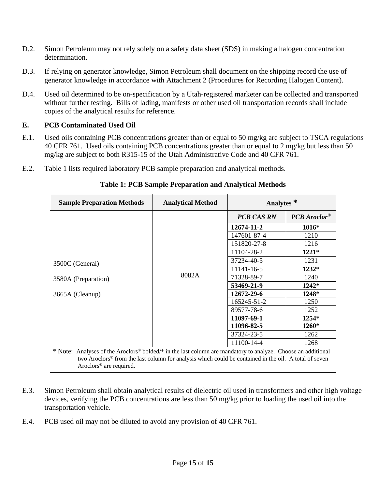- D.2. Simon Petroleum may not rely solely on a safety data sheet (SDS) in making a halogen concentration determination.
- D.3. If relying on generator knowledge, Simon Petroleum shall document on the shipping record the use of generator knowledge in accordance with Attachment 2 (Procedures for Recording Halogen Content).
- D.4. Used oil determined to be on-specification by a Utah-registered marketer can be collected and transported without further testing. Bills of lading, manifests or other used oil transportation records shall include copies of the analytical results for reference.

## **E. PCB Contaminated Used Oil**

- E.1. Used oils containing PCB concentrations greater than or equal to 50 mg/kg are subject to TSCA regulations 40 CFR 761. Used oils containing PCB concentrations greater than or equal to 2 mg/kg but less than 50 mg/kg are subject to both R315-15 of the Utah Administrative Code and 40 CFR 761.
- E.2. Table 1 lists required laboratory PCB sample preparation and analytical methods.

| <b>Sample Preparation Methods</b>                                                                                        | <b>Analytical Method</b> | Analytes <sup>*</sup> |                |  |
|--------------------------------------------------------------------------------------------------------------------------|--------------------------|-----------------------|----------------|--|
|                                                                                                                          |                          | <b>PCB CAS RN</b>     | $PCB$ Aroclor® |  |
|                                                                                                                          | 8082A                    | 12674-11-2            | 1016*          |  |
|                                                                                                                          |                          | 147601-87-4           | 1210           |  |
|                                                                                                                          |                          | 151820-27-8           | 1216           |  |
|                                                                                                                          |                          | 11104-28-2            | 1221*          |  |
| 3500C (General)                                                                                                          |                          | 37234-40-5            | 1231           |  |
|                                                                                                                          |                          | 11141-16-5            | 1232*          |  |
| 3580A (Preparation)<br>3665A (Cleanup)                                                                                   |                          | 71328-89-7            | 1240           |  |
|                                                                                                                          |                          | 53469-21-9            | 1242*          |  |
|                                                                                                                          |                          | 12672-29-6            | 1248*          |  |
|                                                                                                                          |                          | 165245-51-2           | 1250           |  |
|                                                                                                                          |                          | 89577-78-6            | 1252           |  |
|                                                                                                                          |                          | 11097-69-1            | 1254*          |  |
|                                                                                                                          |                          | 11096-82-5            | 1260*          |  |
|                                                                                                                          |                          | 37324-23-5            | 1262           |  |
|                                                                                                                          |                          | 11100-14-4            | 1268           |  |
| * Note: Analyses of the Aroclors <sup>®</sup> bolded/* in the last column are mandatory to analyze. Choose an additional |                          |                       |                |  |
| two Aroclors® from the last column for analysis which could be contained in the oil. A total of seven                    |                          |                       |                |  |
| Aroclors <sup>®</sup> are required.                                                                                      |                          |                       |                |  |

#### **Table 1: PCB Sample Preparation and Analytical Methods**

- E.3. Simon Petroleum shall obtain analytical results of dielectric oil used in transformers and other high voltage devices, verifying the PCB concentrations are less than 50 mg/kg prior to loading the used oil into the transportation vehicle.
- E.4. PCB used oil may not be diluted to avoid any provision of 40 CFR 761.